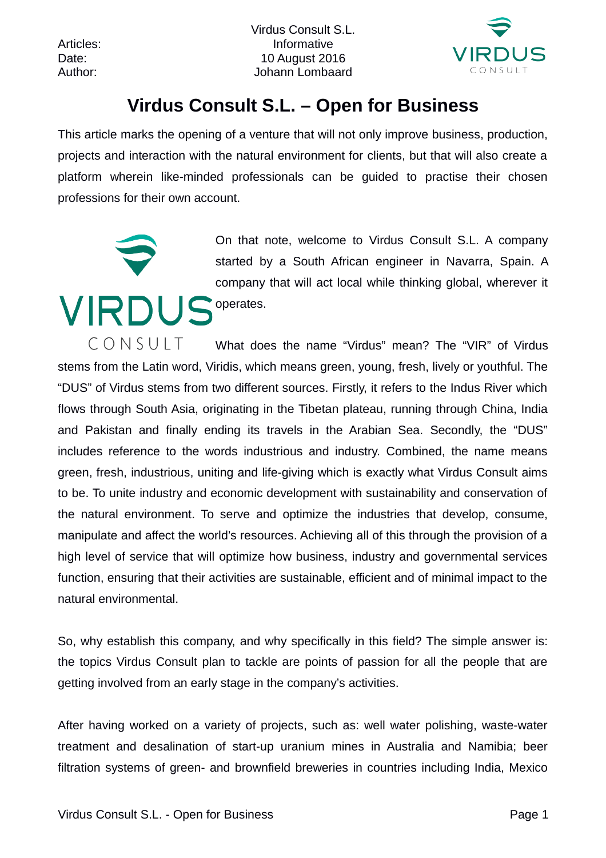Virdus Consult S.L. Articles: Informative Date: 10 August 2016 Author: Johann Lombaard



## **Virdus Consult S.L. – Open for Business**

This article marks the opening of a venture that will not only improve business, production, projects and interaction with the natural environment for clients, but that will also create a platform wherein like-minded professionals can be guided to practise their chosen professions for their own account.



CONSULT What does the name "Virdus" mean? The "VIR" of Virdus stems from the Latin word, Viridis, which means green, young, fresh, lively or youthful. The "DUS" of Virdus stems from two different sources. Firstly, it refers to the Indus River which flows through South Asia, originating in the Tibetan plateau, running through China, India and Pakistan and finally ending its travels in the Arabian Sea. Secondly, the "DUS" includes reference to the words industrious and industry. Combined, the name means green, fresh, industrious, uniting and life-giving which is exactly what Virdus Consult aims to be. To unite industry and economic development with sustainability and conservation of the natural environment. To serve and optimize the industries that develop, consume, manipulate and affect the world's resources. Achieving all of this through the provision of a high level of service that will optimize how business, industry and governmental services function, ensuring that their activities are sustainable, efficient and of minimal impact to the natural environmental.

So, why establish this company, and why specifically in this field? The simple answer is: the topics Virdus Consult plan to tackle are points of passion for all the people that are getting involved from an early stage in the company's activities.

After having worked on a variety of projects, such as: well water polishing, waste-water treatment and desalination of start-up uranium mines in Australia and Namibia; beer filtration systems of green- and brownfield breweries in countries including India, Mexico